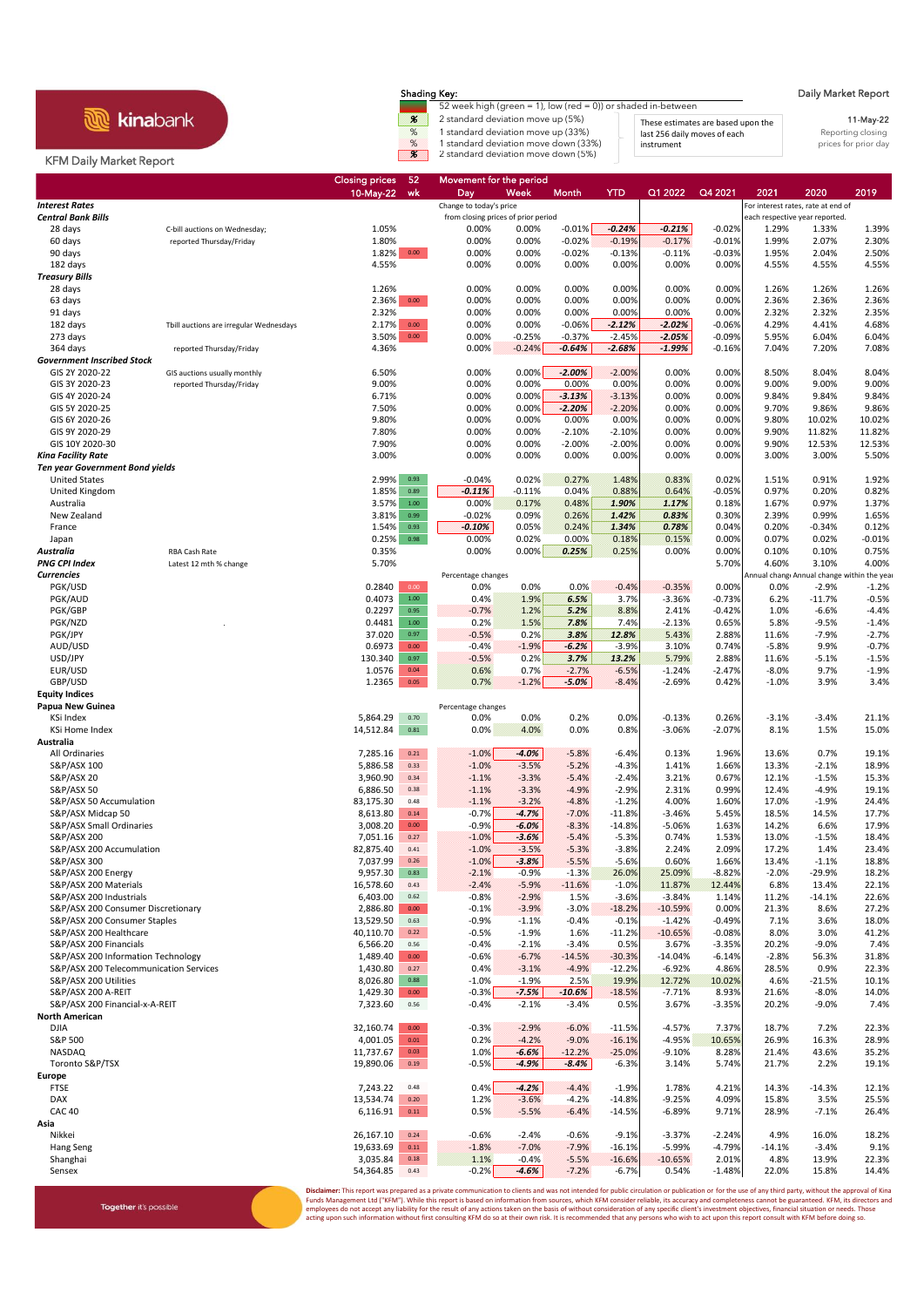**R** kinabank

## Shading Key: Daily Market Report

52 week high (green = 1), low (red = 0)) or shaded in-between % 2 standard deviation move up (5%) % 1 standard deviation move up (33%) These estimates are based upon the Reporting closing<br>
8 1 standard deviation move up (33%) and 25% instrument<br>
1 standard deviation move down (33%) instrument<br>
prices for prior day<br>
pri % 1 standard deviation move down (33%) prior that instrument the standard deviation of a standard deviation move down (5%) and the standard deviation move down (5%) and the standard deviation move down (5%) and the standa

11-May-22 These estimates are based upon the last 256 daily moves of each instrument

## KFM Daily Market Report

|                                                                              |                                                          | <b>Closing prices</b><br>10-May-22 | -52<br>wk        | <u>Movem</u> ent for the period<br>Day | Week               | Month                | <b>YTD</b>           | Q1 2022               | Q4 2021              | 2021                                      | 2020                | 2019               |
|------------------------------------------------------------------------------|----------------------------------------------------------|------------------------------------|------------------|----------------------------------------|--------------------|----------------------|----------------------|-----------------------|----------------------|-------------------------------------------|---------------------|--------------------|
| <b>Interest Rates</b>                                                        |                                                          |                                    |                  | Change to today's price                |                    |                      |                      |                       |                      | For interest rates, rate at end of        |                     |                    |
| <b>Central Bank Bills</b>                                                    |                                                          |                                    |                  | from closing prices of prior period    |                    |                      |                      |                       |                      | each respective year reported.            |                     |                    |
| 28 days                                                                      | C-bill auctions on Wednesday;                            | 1.05%                              |                  | 0.00%                                  | 0.00%              | $-0.01%$             | $-0.24%$             | $-0.21%$<br>$-0.17%$  | $-0.02%$             | 1.29%                                     | 1.33%               | 1.39%              |
| 60 days<br>90 days                                                           | reported Thursday/Friday                                 | 1.80%<br>1.82% 0.00                |                  | 0.00%<br>0.00%                         | 0.00%<br>0.00%     | $-0.02%$<br>$-0.02%$ | $-0.19%$<br>$-0.13%$ | $-0.11%$              | $-0.01%$<br>$-0.03%$ | 1.99%<br>1.95%                            | 2.07%<br>2.04%      | 2.30%<br>2.50%     |
| 182 days                                                                     |                                                          | 4.55%                              |                  | 0.00%                                  | 0.00%              | 0.00%                | 0.00%                | 0.00%                 | 0.00%                | 4.55%                                     | 4.55%               | 4.55%              |
| <b>Treasury Bills</b>                                                        |                                                          |                                    |                  |                                        |                    |                      |                      |                       |                      |                                           |                     |                    |
| 28 days                                                                      |                                                          | 1.26%                              |                  | 0.00%                                  | 0.00%              | 0.00%                | 0.00%                | 0.00%                 | 0.00%                | 1.26%                                     | 1.26%               | 1.26%              |
| 63 days<br>91 days                                                           |                                                          | 2.36%<br>2.32%                     | 0.00             | 0.00%<br>0.00%                         | 0.00%<br>0.00%     | 0.00%<br>0.00%       | 0.00%<br>0.00%       | 0.00%<br>0.00%        | 0.00%<br>0.00%       | 2.36%<br>2.32%                            | 2.36%<br>2.32%      | 2.36%<br>2.35%     |
| 182 days                                                                     | Tbill auctions are irregular Wednesdays                  | 2.17%                              | 0.00             | 0.00%                                  | 0.00%              | $-0.06%$             | $-2.12%$             | $-2.02%$              | $-0.06%$             | 4.29%                                     | 4.41%               | 4.68%              |
| 273 days                                                                     |                                                          | 3.50%                              | $0.00\,$         | 0.00%                                  | $-0.25%$           | $-0.37%$             | $-2.45%$             | $-2.05%$              | $-0.09%$             | 5.95%                                     | 6.04%               | 6.04%              |
| 364 days                                                                     | reported Thursday/Friday                                 | 4.36%                              |                  | 0.00%                                  | $-0.24%$           | $-0.64%$             | $-2.68%$             | $-1.99%$              | $-0.16%$             | 7.04%                                     | 7.20%               | 7.08%              |
| <b>Government Inscribed Stock</b>                                            |                                                          |                                    |                  |                                        |                    |                      |                      |                       |                      |                                           |                     |                    |
| GIS 2Y 2020-22<br>GIS 3Y 2020-23                                             | GIS auctions usually monthly<br>reported Thursday/Friday | 6.50%<br>9.00%                     |                  | 0.00%<br>0.00%                         | 0.00%<br>0.00%     | $-2.00%$<br>0.00%    | $-2.00%$<br>0.00%    | 0.00%<br>0.00%        | 0.00%<br>0.00%       | 8.50%<br>9.00%                            | 8.04%<br>9.00%      | 8.04%<br>9.00%     |
| GIS 4Y 2020-24                                                               |                                                          | 6.71%                              |                  | 0.00%                                  | 0.00%              | $-3.13%$             | $-3.13%$             | 0.00%                 | 0.00%                | 9.84%                                     | 9.84%               | 9.84%              |
| GIS 5Y 2020-25                                                               |                                                          | 7.50%                              |                  | 0.00%                                  | 0.00%              | $-2.20%$             | $-2.20%$             | 0.00%                 | 0.00%                | 9.70%                                     | 9.86%               | 9.86%              |
| GIS 6Y 2020-26                                                               |                                                          | 9.80%                              |                  | 0.00%                                  | 0.00%              | 0.00%                | 0.00%                | 0.00%                 | 0.00%                | 9.80%                                     | 10.02%              | 10.02%             |
| GIS 9Y 2020-29                                                               |                                                          | 7.80%                              |                  | 0.00%                                  | 0.00%              | $-2.10%$             | $-2.10%$             | 0.00%                 | 0.00%                | 9.90%                                     | 11.82%              | 11.82%             |
| GIS 10Y 2020-30<br>Kina Facility Rate                                        |                                                          | 7.90%<br>3.00%                     |                  | 0.00%<br>0.00%                         | 0.00%<br>0.00%     | $-2.00%$<br>0.00%    | $-2.00%$<br>0.00%    | 0.00%<br>0.00%        | 0.00%<br>0.00%       | 9.90%<br>3.00%                            | 12.53%<br>3.00%     | 12.53%<br>5.50%    |
| <b>Ten year Government Bond yields</b>                                       |                                                          |                                    |                  |                                        |                    |                      |                      |                       |                      |                                           |                     |                    |
| <b>United States</b>                                                         |                                                          | 2.99%                              | 0.93             | $-0.04%$                               | 0.02%              | 0.27%                | 1.48%                | 0.83%                 | 0.02%                | 1.51%                                     | 0.91%               | 1.92%              |
| United Kingdom                                                               |                                                          | 1.85%                              | 0.89             | $-0.11%$                               | $-0.11%$           | 0.04%                | 0.88%                | 0.64%                 | $-0.05%$             | 0.97%                                     | 0.20%               | 0.82%              |
| Australia                                                                    |                                                          | 3.57%                              | $1.00\,$         | 0.00%                                  | 0.17%              | 0.48%                | 1.90%                | 1.17%                 | 0.18%                | 1.67%                                     | 0.97%               | 1.37%              |
| New Zealand                                                                  |                                                          | 3.81%                              | 0.99             | $-0.02%$                               | 0.09%              | 0.26%                | 1.42%                | 0.83%                 | 0.30%                | 2.39%                                     | 0.99%               | 1.65%              |
| France<br>Japan                                                              |                                                          | 1.54%<br>0.25%                     | 0.93<br>0.98     | $-0.10%$<br>0.00%                      | 0.05%<br>0.02%     | 0.24%<br>0.00%       | 1.34%<br>0.18%       | 0.78%<br>0.15%        | 0.04%<br>0.00%       | 0.20%<br>0.07%                            | $-0.34%$<br>0.02%   | 0.12%<br>$-0.01%$  |
| Australia                                                                    | RBA Cash Rate                                            | 0.35%                              |                  | 0.00%                                  | 0.00%              | 0.25%                | 0.25%                | 0.00%                 | 0.00%                | 0.10%                                     | 0.10%               | 0.75%              |
| <b>PNG CPI Index</b>                                                         | Latest 12 mth % change                                   | 5.70%                              |                  |                                        |                    |                      |                      |                       | 5.70%                | 4.60%                                     | 3.10%               | 4.00%              |
| <b>Currencies</b>                                                            |                                                          |                                    |                  | Percentage changes                     |                    |                      |                      |                       |                      | Annual chang Annual change within the yea |                     |                    |
| PGK/USD                                                                      |                                                          | 0.2840                             | 0.00             | 0.0%                                   | 0.0%               | 0.0%                 | $-0.4%$              | $-0.35%$              | 0.00%                | 0.0%                                      | $-2.9%$             | $-1.2%$            |
| PGK/AUD<br>PGK/GBP                                                           |                                                          | 0.4073<br>0.2297                   | $1.00\,$<br>0.95 | 0.4%<br>$-0.7%$                        | 1.9%<br>1.2%       | 6.5%<br>5.2%         | 3.7%<br>8.8%         | $-3.36%$<br>2.41%     | $-0.73%$<br>$-0.42%$ | 6.2%<br>1.0%                              | $-11.7%$<br>$-6.6%$ | $-0.5%$<br>$-4.4%$ |
| PGK/NZD                                                                      |                                                          | 0.4481                             | 1.00             | 0.2%                                   | 1.5%               | 7.8%                 | 7.4%                 | $-2.13%$              | 0.65%                | 5.8%                                      | $-9.5%$             | $-1.4%$            |
| PGK/JPY                                                                      |                                                          | 37.020                             | 0.97             | $-0.5%$                                | 0.2%               | 3.8%                 | 12.8%                | 5.43%                 | 2.88%                | 11.6%                                     | -7.9%               | $-2.7%$            |
| AUD/USD                                                                      |                                                          | 0.6973                             | 0.00             | $-0.4%$                                | $-1.9%$            | $-6.2%$              | $-3.9%$              | 3.10%                 | 0.74%                | $-5.8%$                                   | 9.9%                | $-0.7%$            |
| USD/JPY                                                                      |                                                          | 130.340                            | 0.97             | $-0.5%$                                | 0.2%               | 3.7%                 | 13.2%                | 5.79%                 | 2.88%                | 11.6%                                     | $-5.1%$             | $-1.5%$            |
| EUR/USD<br>GBP/USD                                                           |                                                          | 1.0576<br>1.2365                   | 0.04<br>0.05     | 0.6%<br>0.7%                           | 0.7%<br>$-1.2%$    | $-2.7%$<br>$-5.0%$   | $-6.5%$<br>$-8.4%$   | $-1.24%$<br>$-2.69%$  | $-2.47%$<br>0.42%    | $-8.0%$<br>$-1.0%$                        | 9.7%<br>3.9%        | $-1.9%$<br>3.4%    |
| <b>Equity Indices</b>                                                        |                                                          |                                    |                  |                                        |                    |                      |                      |                       |                      |                                           |                     |                    |
| Papua New Guinea                                                             |                                                          |                                    |                  | Percentage changes                     |                    |                      |                      |                       |                      |                                           |                     |                    |
| KSi Index                                                                    |                                                          | 5,864.29                           | 0.70             | 0.0%                                   | 0.0%               | 0.2%                 | 0.0%                 | -0.13%                | 0.26%                | $-3.1%$                                   | $-3.4%$             | 21.1%              |
| KSi Home Index                                                               |                                                          | 14,512.84                          | 0.81             | $0.0\%$                                | 4.0%               | 0.0%                 | 0.8%                 | $-3.06%$              | $-2.07%$             | 8.1%                                      | 1.5%                | 15.0%              |
| Australia<br>All Ordinaries                                                  |                                                          | 7,285.16                           | 0.21             | $-1.0\%$                               | $-4.0%$            | $-5.8%$              | $-6.4%$              | 0.13%                 | 1.96%                | 13.6%                                     | 0.7%                | 19.1%              |
| S&P/ASX 100                                                                  |                                                          | 5,886.58                           | 0.33             | $-1.0%$                                | $-3.5%$            | $-5.2%$              | $-4.3%$              | 1.41%                 | 1.66%                | 13.3%                                     | $-2.1%$             | 18.9%              |
| S&P/ASX 20                                                                   |                                                          | 3,960.90                           | 0.34             | $-1.1%$                                | $-3.3%$            | $-5.4%$              | $-2.4%$              | 3.21%                 | 0.67%                | 12.1%                                     | $-1.5%$             | 15.3%              |
| S&P/ASX 50                                                                   |                                                          | 6,886.50                           | 0.38             | $-1.1%$                                | $-3.3%$            | $-4.9%$              | $-2.9%$              | 2.31%                 | 0.99%                | 12.4%                                     | $-4.9%$             | 19.1%              |
| S&P/ASX 50 Accumulation                                                      |                                                          | 83,175.30                          | 0.48             | $-1.1%$                                | $-3.2%$            | $-4.8%$              | $-1.2%$              | 4.00%                 | 1.60%                | 17.0%                                     | $-1.9%$             | 24.4%              |
| S&P/ASX Midcap 50<br>S&P/ASX Small Ordinaries                                |                                                          | 8,613.80<br>3,008.20               | 0.14<br>0.00     | $-0.7%$<br>$-0.9%$                     | $-4.7%$<br>$-6.0%$ | $-7.0%$<br>$-8.3%$   | $-11.8%$<br>$-14.8%$ | $-3.46%$<br>-5.06%    | 5.45%<br>1.63%       | 18.5%<br>14.2%                            | 14.5%<br>6.6%       | 17.7%<br>17.9%     |
| S&P/ASX 200                                                                  |                                                          | 7,051.16                           | 0.27             | $-1.0\%$                               | $-3.6%$            | $-5.4%$              | $-5.3%$              | 0.74%                 | 1.53%                | 13.0%                                     | $-1.5%$             | 18.4%              |
| S&P/ASX 200 Accumulation                                                     |                                                          | 82,875.40                          | 0.41             | $-1.0\%$                               | $-3.5%$            | $-5.3%$              | $-3.8%$              | 2.24%                 | 2.09%                | 17.2%                                     | 1.4%                | 23.4%              |
| S&P/ASX 300                                                                  |                                                          | 7,037.99                           | 0.26             | $-1.0\%$                               | $-3.8%$            | $-5.5%$              | $-5.6%$              | 0.60%                 | 1.66%                | 13.4%                                     | $-1.1%$             | 18.8%              |
| S&P/ASX 200 Energy                                                           |                                                          | 9,957.30                           | 0.83             | $-2.1%$                                | $-0.9%$            | $-1.3%$              | 26.0%                | 25.09%                | 8.82%                | $-2.0%$                                   | $-29.9%$            | 18.2%              |
| S&P/ASX 200 Materials<br>S&P/ASX 200 Industrials                             |                                                          | 16,578.60<br>6,403.00              | 0.43<br>0.62     | $-2.4%$<br>-0.8%                       | $-5.9%$<br>$-2.9%$ | $-11.6%$<br>1.5%     | $-1.0%$<br>$-3.6%$   | 11.87%<br>$-3.84%$    | 12.44%<br>1.14%      | 6.8%<br>11.2%                             | 13.4%<br>$-14.1%$   | 22.1%<br>22.6%     |
| S&P/ASX 200 Consumer Discretionary                                           |                                                          | 2,886.80                           | $0.00\,$         | $-0.1%$                                | $-3.9%$            | $-3.0%$              | $-18.2%$             | $-10.59%$             | 0.00%                | 21.3%                                     | 8.6%                | 27.2%              |
| S&P/ASX 200 Consumer Staples                                                 |                                                          | 13,529.50                          | 0.63             | -0.9%                                  | $-1.1%$            | $-0.4%$              | $-0.1%$              | $-1.42%$              | $-0.49%$             | 7.1%                                      | 3.6%                | 18.0%              |
| S&P/ASX 200 Healthcare                                                       |                                                          | 40,110.70                          | 0.22             | $-0.5%$                                | $-1.9%$            | 1.6%                 | $-11.2%$             | $-10.65%$             | $-0.08%$             | 8.0%                                      | 3.0%                | 41.2%              |
| S&P/ASX 200 Financials                                                       |                                                          | 6,566.20                           | 0.56             | $-0.4%$                                | $-2.1%$            | $-3.4%$              | 0.5%                 | 3.67%                 | $-3.35%$             | 20.2%                                     | $-9.0%$             | 7.4%               |
| S&P/ASX 200 Information Technology<br>S&P/ASX 200 Telecommunication Services |                                                          | 1,489.40<br>1,430.80               | $0.00\,$<br>0.27 | $-0.6%$<br>0.4%                        | $-6.7%$<br>$-3.1%$ | $-14.5%$<br>$-4.9%$  | $-30.3%$<br>$-12.2%$ | $-14.04%$<br>$-6.92%$ | $-6.14%$<br>4.86%    | $-2.8%$<br>28.5%                          | 56.3%<br>0.9%       | 31.8%<br>22.3%     |
| S&P/ASX 200 Utilities                                                        |                                                          | 8,026.80                           | 0.88             | $-1.0%$                                | $-1.9%$            | 2.5%                 | 19.9%                | 12.72%                | 10.02%               | 4.6%                                      | $-21.5%$            | 10.1%              |
| S&P/ASX 200 A-REIT                                                           |                                                          | 1,429.30                           | 0.00             | $-0.3%$                                | $-7.5%$            | $-10.6%$             | $-18.5%$             | $-7.71%$              | 8.93%                | 21.6%                                     | $-8.0%$             | 14.0%              |
| S&P/ASX 200 Financial-x-A-REIT                                               |                                                          | 7,323.60                           | 0.56             | $-0.4%$                                | $-2.1%$            | $-3.4%$              | 0.5%                 | 3.67%                 | $-3.35%$             | 20.2%                                     | -9.0%               | 7.4%               |
| <b>North American</b>                                                        |                                                          |                                    |                  |                                        |                    |                      |                      |                       |                      |                                           |                     |                    |
| <b>DJIA</b><br>S&P 500                                                       |                                                          | 32,160.74                          | 0.00<br>0.01     | $-0.3%$<br>0.2%                        | $-2.9%$            | $-6.0%$              | $-11.5%$             | $-4.57%$              | 7.37%                | 18.7%<br>26.9%                            | 7.2%                | 22.3%              |
| <b>NASDAQ</b>                                                                |                                                          | 4,001.05<br>11,737.67              | 0.03             | 1.0%                                   | $-4.2%$<br>$-6.6%$ | $-9.0\%$<br>$-12.2%$ | $-16.1%$<br>$-25.0%$ | $-4.95%$<br>$-9.10%$  | 10.65%<br>8.28%      | 21.4%                                     | 16.3%<br>43.6%      | 28.9%<br>35.2%     |
| Toronto S&P/TSX                                                              |                                                          | 19,890.06                          | 0.19             | $-0.5%$                                | $-4.9%$            | $-8.4%$              | $-6.3%$              | 3.14%                 | 5.74%                | 21.7%                                     | 2.2%                | 19.1%              |
| Europe                                                                       |                                                          |                                    |                  |                                        |                    |                      |                      |                       |                      |                                           |                     |                    |
| <b>FTSE</b>                                                                  |                                                          | 7,243.22                           | 0.48             | 0.4%                                   | $-4.2%$            | $-4.4%$              | $-1.9%$              | 1.78%                 | 4.21%                | 14.3%                                     | $-14.3%$            | 12.1%              |
| <b>DAX</b>                                                                   |                                                          | 13,534.74                          | 0.20             | 1.2%                                   | $-3.6%$            | $-4.2%$              | $-14.8%$             | $-9.25%$              | 4.09%                | 15.8%                                     | 3.5%                | 25.5%              |
| <b>CAC 40</b><br>Asia                                                        |                                                          | 6,116.91                           | 0.11             | 0.5%                                   | $-5.5%$            | $-6.4%$              | $-14.5%$             | $-6.89%$              | 9.71%                | 28.9%                                     | $-7.1%$             | 26.4%              |
| Nikkei                                                                       |                                                          | 26,167.10                          | 0.24             | $-0.6%$                                | $-2.4%$            | $-0.6%$              | $-9.1%$              | $-3.37%$              | $-2.24%$             | 4.9%                                      | 16.0%               | 18.2%              |
| Hang Seng                                                                    |                                                          | 19,633.69                          | $0.11\,$         | $-1.8%$                                | $-7.0%$            | $-7.9%$              | $-16.1%$             | $-5.99%$              | $-4.79%$             | $-14.1%$                                  | $-3.4%$             | 9.1%               |
| Shanghai                                                                     |                                                          | 3,035.84                           | 0.18             | 1.1%                                   | $-0.4%$            | $-5.5%$              | $-16.6%$             | $-10.65%$             | 2.01%                | 4.8%                                      | 13.9%               | 22.3%              |
| Sensex                                                                       |                                                          | 54,364.85                          | 0.43             | $-0.2%$                                | $-4.6%$            | $-7.2%$              | $-6.7%$              | 0.54%                 | $-1.48%$             | 22.0%                                     | 15.8%               | 14.4%              |

Disclaimer: This report was prepared as a private communication to clients and was not intended for public circulation or publication or for the use of any third party, without the approval of Kina<br>Funds Management Ltd ("K